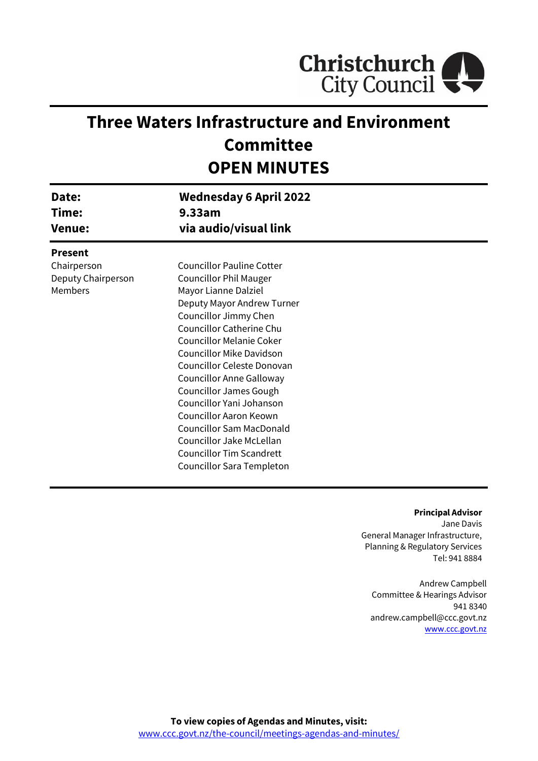

# **Three Waters Infrastructure and Environment Committee OPEN MINUTES**

| Date:<br>Time:<br><b>Venue:</b>                                | <b>Wednesday 6 April 2022</b><br>9.33am<br>via audio/visual link                                                                                                                                                                                                                                                                                                                                                                                                   |  |
|----------------------------------------------------------------|--------------------------------------------------------------------------------------------------------------------------------------------------------------------------------------------------------------------------------------------------------------------------------------------------------------------------------------------------------------------------------------------------------------------------------------------------------------------|--|
| <b>Present</b><br>Chairperson<br>Deputy Chairperson<br>Members | <b>Councillor Pauline Cotter</b><br><b>Councillor Phil Mauger</b><br>Mayor Lianne Dalziel<br>Deputy Mayor Andrew Turner<br>Councillor Jimmy Chen<br>Councillor Catherine Chu<br><b>Councillor Melanie Coker</b><br><b>Councillor Mike Davidson</b><br>Councillor Celeste Donovan<br>Councillor Anne Galloway<br><b>Councillor James Gough</b><br>Councillor Yani Johanson<br>Councillor Aaron Keown<br><b>Councillor Sam MacDonald</b><br>Councillor Jake McLellan |  |
|                                                                | <b>Councillor Tim Scandrett</b><br>Councillor Sara Templeton                                                                                                                                                                                                                                                                                                                                                                                                       |  |

#### **Principal Advisor**

Jane Davis General Manager Infrastructure, Planning & Regulatory Services Tel: 941 8884

Andrew Campbell Committee & Hearings Advisor 941 8340 andrew.campbell@ccc.govt.nz [www.ccc.govt.nz](http://www.ccc.govt.nz/)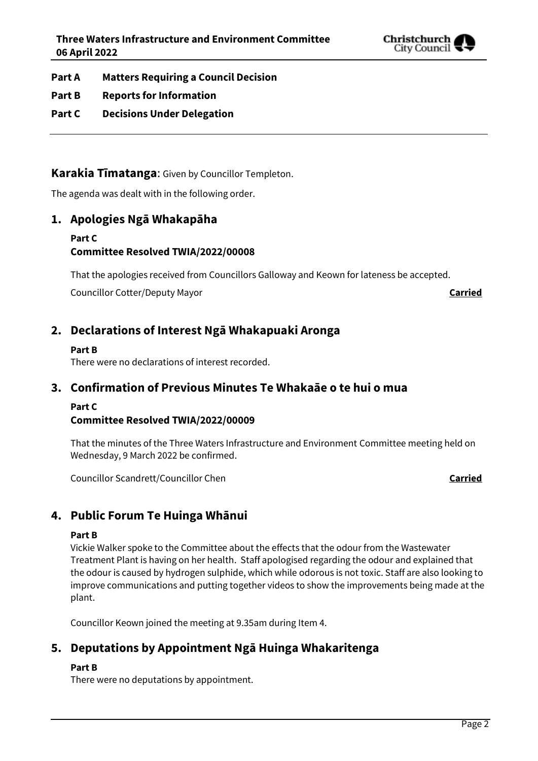

- **Part A Matters Requiring a Council Decision**
- **Part B Reports for Information**
- **Part C Decisions Under Delegation**

**Karakia Tīmatanga**: Given by Councillor Templeton.

The agenda was dealt with in the following order.

## **1. Apologies Ngā Whakapāha**

#### **Part C Committee Resolved TWIA/2022/00008**

That the apologies received from Councillors Galloway and Keown for lateness be accepted.

Councillor Cotter/Deputy Mayor **Carried**

## **2. Declarations of Interest Ngā Whakapuaki Aronga**

#### **Part B**

There were no declarations of interest recorded.

## **3. Confirmation of Previous Minutes Te Whakaāe o te hui o mua**

### **Part C**

### **Committee Resolved TWIA/2022/00009**

That the minutes of the Three Waters Infrastructure and Environment Committee meeting held on Wednesday, 9 March 2022 be confirmed.

Councillor Scandrett/Councillor Chen **Councillor Chen Carried** 

## **4. Public Forum Te Huinga Whānui**

#### **Part B**

Vickie Walker spoke to the Committee about the effects that the odour from the Wastewater Treatment Plant is having on her health. Staff apologised regarding the odour and explained that the odour is caused by hydrogen sulphide, which while odorous is not toxic. Staff are also looking to improve communications and putting together videos to show the improvements being made at the plant.

Councillor Keown joined the meeting at 9.35am during Item 4.

## **5. Deputations by Appointment Ngā Huinga Whakaritenga**

#### **Part B**

There were no deputations by appointment.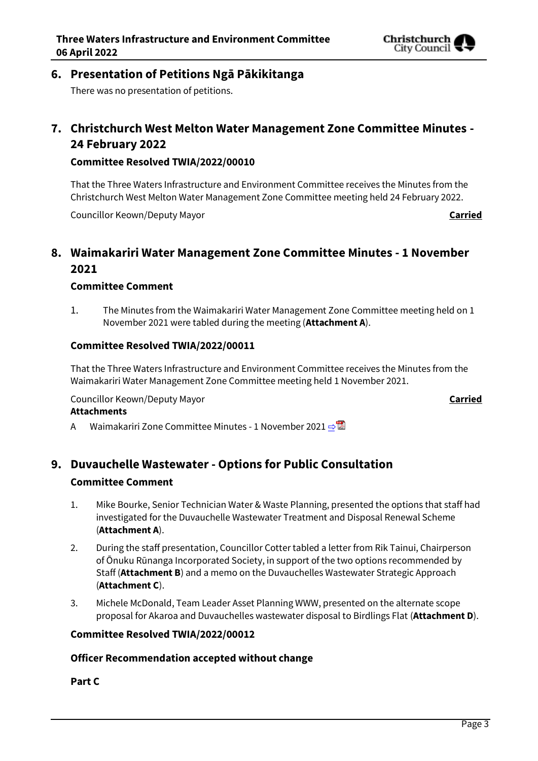

## **6. Presentation of Petitions Ngā Pākikitanga**

There was no presentation of petitions.

## **7. Christchurch West Melton Water Management Zone Committee Minutes - 24 February 2022**

#### **Committee Resolved TWIA/2022/00010**

That the Three Waters Infrastructure and Environment Committee receives the Minutes from the Christchurch West Melton Water Management Zone Committee meeting held 24 February 2022.

Councillor Keown/Deputy Mayor **Carried**

## **8. Waimakariri Water Management Zone Committee Minutes - 1 November 2021**

#### **Committee Comment**

1. The Minutes from the Waimakariri Water Management Zone Committee meeting held on 1 November 2021 were tabled during the meeting (**Attachment A**).

#### **Committee Resolved TWIA/2022/00011**

That the Three Waters Infrastructure and Environment Committee receives the Minutes from the Waimakariri Water Management Zone Committee meeting held 1 November 2021.

Councillor Keown/Deputy Mayor **Carried**

#### **Attachments**

A Waimakariri Zone Committee Minutes - 1 November 2021 **[⇨](../../../RedirectToInvalidFileName.aspx?FileName=TWIA_20220406_MAT_7548.PDF#PAGE=3)</u>** 

### **9. Duvauchelle Wastewater - Options for Public Consultation**

#### **Committee Comment**

- 1. Mike Bourke, Senior Technician Water & Waste Planning, presented the options that staff had investigated for the Duvauchelle Wastewater Treatment and Disposal Renewal Scheme (**Attachment A**).
- 2. During the staff presentation, Councillor Cotter tabled a letter from Rik Tainui, Chairperson of Ōnuku Rūnanga Incorporated Society, in support of the two options recommended by Staff (**Attachment B**) and a memo on the Duvauchelles Wastewater Strategic Approach (**Attachment C**).
- 3. Michele McDonald, Team Leader Asset Planning WWW, presented on the alternate scope proposal for Akaroa and Duvauchelles wastewater disposal to Birdlings Flat (**Attachment D**).

#### **Committee Resolved TWIA/2022/00012**

#### **Officer Recommendation accepted without change**

#### **Part C**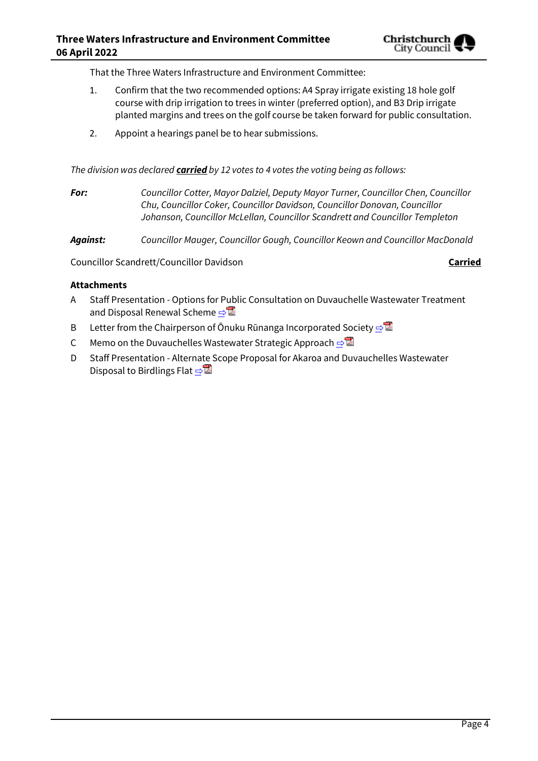That the Three Waters Infrastructure and Environment Committee:

- 1. Confirm that the two recommended options: A4 Spray irrigate existing 18 hole golf course with drip irrigation to trees in winter (preferred option), and B3 Drip irrigate planted margins and trees on the golf course be taken forward for public consultation.
- 2. Appoint a hearings panel be to hear submissions.

*The division was declared carried by 12 votes to 4 votes the voting being as follows:*

*For: Councillor Cotter, Mayor Dalziel, Deputy Mayor Turner, Councillor Chen, Councillor Chu, Councillor Coker, Councillor Davidson, Councillor Donovan, Councillor Johanson, Councillor McLellan, Councillor Scandrett and Councillor Templeton*

*Against: Councillor Mauger, Councillor Gough, Councillor Keown and Councillor MacDonald*

Councillor Scandrett/Councillor Davidson **Carried**

#### **Attachments**

- A Staff Presentation Options for Public Consultation on Duvauchelle Wastewater Treatment and Disposal Renewal Scheme ⇒
- B Letter from the Chairperson of Ōnuku Rūnanga Incorporated Society  $\Rightarrow$
- C Memo on the Duvauchelles Wastewater Strategic Approach  $\Rightarrow$
- D Staff Presentation Alternate Scope Proposal for Akaroa and Duvauchelles Wastewater Disposal to Birdlings Flat  $\triangle$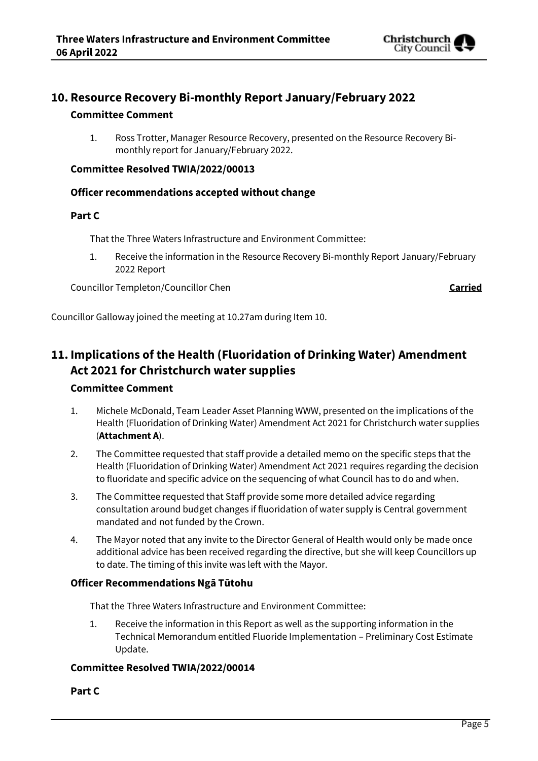

## **10. Resource Recovery Bi-monthly Report January/February 2022**

#### **Committee Comment**

1. Ross Trotter, Manager Resource Recovery, presented on the Resource Recovery Bimonthly report for January/February 2022.

#### **Committee Resolved TWIA/2022/00013**

#### **Officer recommendations accepted without change**

#### **Part C**

That the Three Waters Infrastructure and Environment Committee:

1. Receive the information in the Resource Recovery Bi-monthly Report January/February 2022 Report

Councillor Templeton/Councillor Chen **Carried**

Councillor Galloway joined the meeting at 10.27am during Item 10.

## **11. Implications of the Health (Fluoridation of Drinking Water) Amendment Act 2021 for Christchurch water supplies**

#### **Committee Comment**

- 1. Michele McDonald, Team Leader Asset Planning WWW, presented on the implications of the Health (Fluoridation of Drinking Water) Amendment Act 2021 for Christchurch water supplies (**Attachment A**).
- 2. The Committee requested that staff provide a detailed memo on the specific steps that the Health (Fluoridation of Drinking Water) Amendment Act 2021 requires regarding the decision to fluoridate and specific advice on the sequencing of what Council has to do and when.
- 3. The Committee requested that Staff provide some more detailed advice regarding consultation around budget changes if fluoridation of water supply is Central government mandated and not funded by the Crown.
- 4. The Mayor noted that any invite to the Director General of Health would only be made once additional advice has been received regarding the directive, but she will keep Councillors up to date. The timing of this invite was left with the Mayor.

#### **Officer Recommendations Ngā Tūtohu**

That the Three Waters Infrastructure and Environment Committee:

1. Receive the information in this Report as well as the supporting information in the Technical Memorandum entitled Fluoride Implementation – Preliminary Cost Estimate Update.

#### **Committee Resolved TWIA/2022/00014**

#### **Part C**